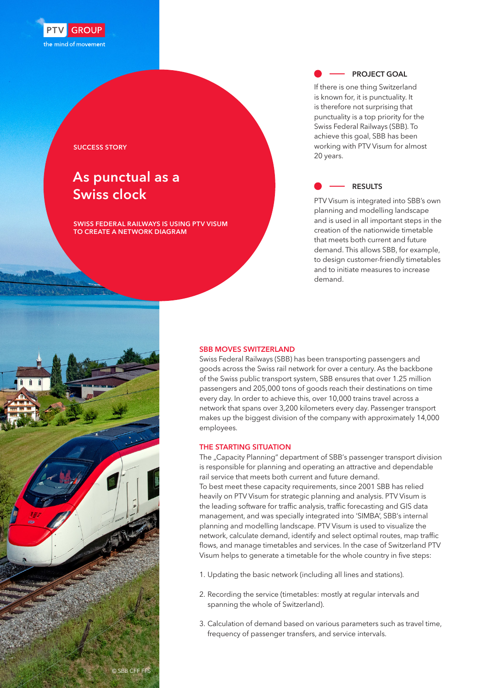

SUCCESS STORY

# As punctual as a Swiss clock

SWISS FEDERAL RAILWAYS IS USING PTV VISUM TO CREATE A NETWORK DIAGRAM

## PROJECT GOAL

If there is one thing Switzerland is known for, it is punctuality. It is therefore not surprising that punctuality is a top priority for the Swiss Federal Railways (SBB). To achieve this goal, SBB has been working with PTV Visum for almost 20 years.



PTV Visum is integrated into SBB's own planning and modelling landscape and is used in all important steps in the creation of the nationwide timetable that meets both current and future demand. This allows SBB, for example, to design customer-friendly timetables and to initiate measures to increase demand.



Swiss Federal Railways (SBB) has been transporting passengers and goods across the Swiss rail network for over a century. As the backbone of the Swiss public transport system, SBB ensures that over 1.25 million passengers and 205,000 tons of goods reach their destinations on time every day. In order to achieve this, over 10,000 trains travel across a network that spans over 3,200 kilometers every day. Passenger transport makes up the biggest division of the company with approximately 14,000 employees.

#### THE STARTING SITUATION

The "Capacity Planning" department of SBB's passenger transport division is responsible for planning and operating an attractive and dependable rail service that meets both current and future demand. To best meet these capacity requirements, since 2001 SBB has relied heavily on PTV Visum for strategic planning and analysis. PTV Visum is the leading software for traffic analysis, traffic forecasting and GIS data management, and was specially integrated into 'SIMBA', SBB's internal planning and modelling landscape. PTV Visum is used to visualize the network, calculate demand, identify and select optimal routes, map traffic flows, and manage timetables and services. In the case of Switzerland PTV Visum helps to generate a timetable for the whole country in five steps:

- 1. Updating the basic network (including all lines and stations).
- 2. Recording the service (timetables: mostly at regular intervals and spanning the whole of Switzerland).
- 3. Calculation of demand based on various parameters such as travel time, frequency of passenger transfers, and service intervals.